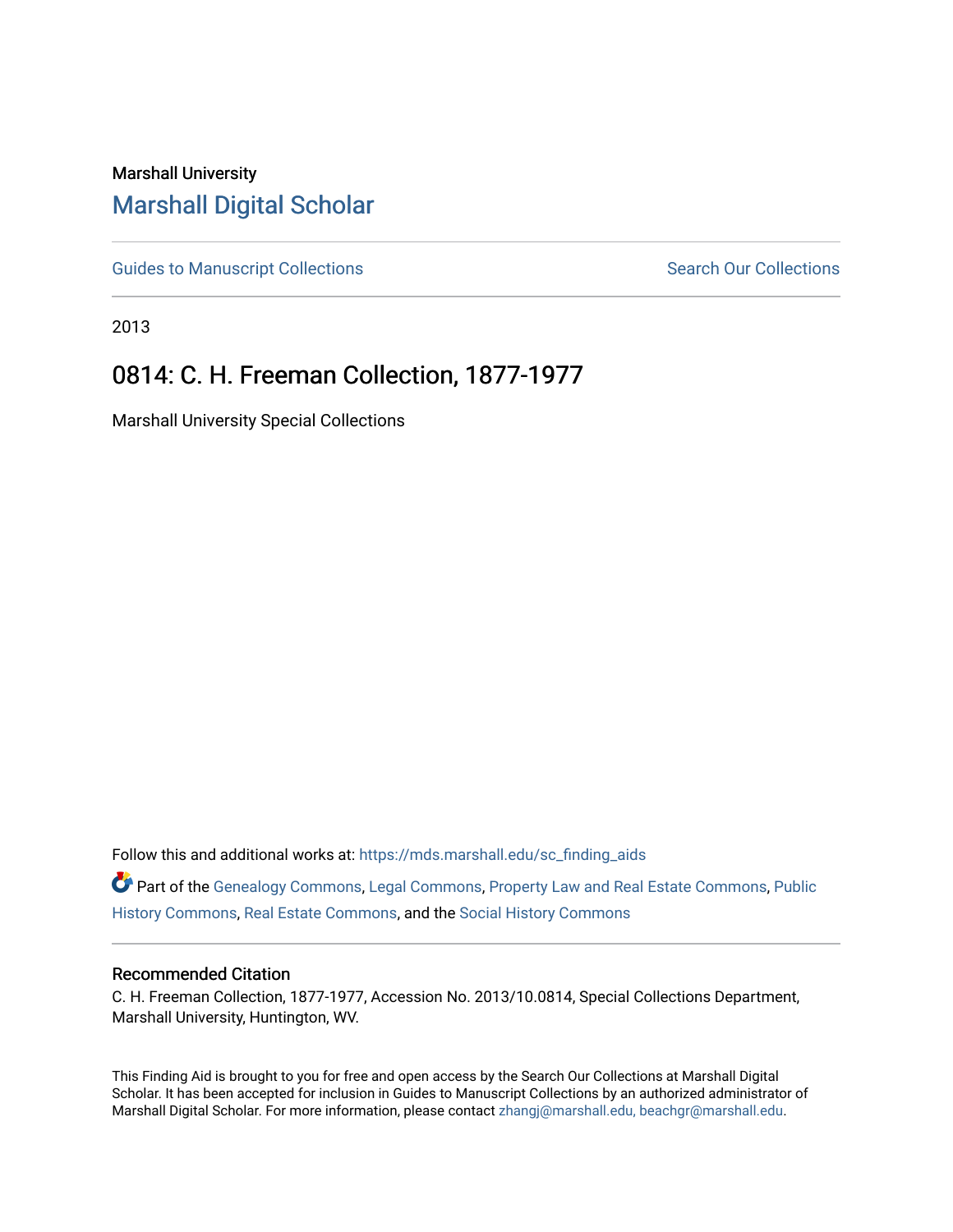## Marshall University [Marshall Digital Scholar](https://mds.marshall.edu/)

[Guides to Manuscript Collections](https://mds.marshall.edu/sc_finding_aids) **Search Our Collections** Search Our Collections

2013

# 0814: C. H. Freeman Collection, 1877-1977

Marshall University Special Collections

Follow this and additional works at: [https://mds.marshall.edu/sc\\_finding\\_aids](https://mds.marshall.edu/sc_finding_aids?utm_source=mds.marshall.edu%2Fsc_finding_aids%2F357&utm_medium=PDF&utm_campaign=PDFCoverPages) 

Part of the [Genealogy Commons,](http://network.bepress.com/hgg/discipline/1342?utm_source=mds.marshall.edu%2Fsc_finding_aids%2F357&utm_medium=PDF&utm_campaign=PDFCoverPages) [Legal Commons,](http://network.bepress.com/hgg/discipline/502?utm_source=mds.marshall.edu%2Fsc_finding_aids%2F357&utm_medium=PDF&utm_campaign=PDFCoverPages) [Property Law and Real Estate Commons,](http://network.bepress.com/hgg/discipline/897?utm_source=mds.marshall.edu%2Fsc_finding_aids%2F357&utm_medium=PDF&utm_campaign=PDFCoverPages) [Public](http://network.bepress.com/hgg/discipline/1292?utm_source=mds.marshall.edu%2Fsc_finding_aids%2F357&utm_medium=PDF&utm_campaign=PDFCoverPages)  [History Commons](http://network.bepress.com/hgg/discipline/1292?utm_source=mds.marshall.edu%2Fsc_finding_aids%2F357&utm_medium=PDF&utm_campaign=PDFCoverPages), [Real Estate Commons](http://network.bepress.com/hgg/discipline/641?utm_source=mds.marshall.edu%2Fsc_finding_aids%2F357&utm_medium=PDF&utm_campaign=PDFCoverPages), and the [Social History Commons](http://network.bepress.com/hgg/discipline/506?utm_source=mds.marshall.edu%2Fsc_finding_aids%2F357&utm_medium=PDF&utm_campaign=PDFCoverPages)

#### Recommended Citation

C. H. Freeman Collection, 1877-1977, Accession No. 2013/10.0814, Special Collections Department, Marshall University, Huntington, WV.

This Finding Aid is brought to you for free and open access by the Search Our Collections at Marshall Digital Scholar. It has been accepted for inclusion in Guides to Manuscript Collections by an authorized administrator of Marshall Digital Scholar. For more information, please contact [zhangj@marshall.edu, beachgr@marshall.edu](mailto:zhangj@marshall.edu,%20beachgr@marshall.edu).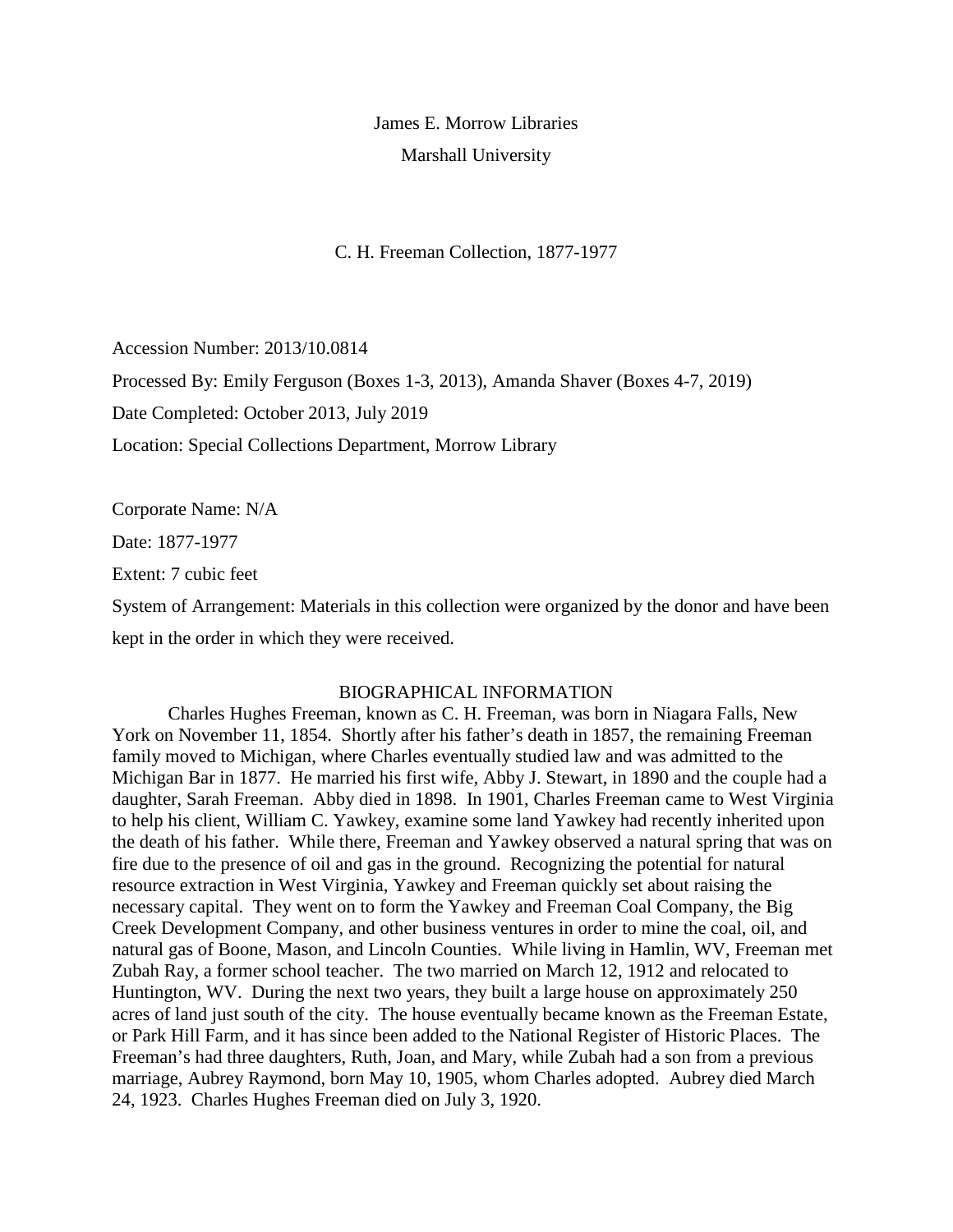James E. Morrow Libraries Marshall University

C. H. Freeman Collection, 1877-1977

Accession Number: 2013/10.0814

Processed By: Emily Ferguson (Boxes 1-3, 2013), Amanda Shaver (Boxes 4-7, 2019)

Date Completed: October 2013, July 2019

Location: Special Collections Department, Morrow Library

Corporate Name: N/A Date: 1877-1977 Extent: 7 cubic feet

System of Arrangement: Materials in this collection were organized by the donor and have been kept in the order in which they were received.

#### BIOGRAPHICAL INFORMATION

Charles Hughes Freeman, known as C. H. Freeman, was born in Niagara Falls, New York on November 11, 1854. Shortly after his father's death in 1857, the remaining Freeman family moved to Michigan, where Charles eventually studied law and was admitted to the Michigan Bar in 1877. He married his first wife, Abby J. Stewart, in 1890 and the couple had a daughter, Sarah Freeman. Abby died in 1898. In 1901, Charles Freeman came to West Virginia to help his client, William C. Yawkey, examine some land Yawkey had recently inherited upon the death of his father. While there, Freeman and Yawkey observed a natural spring that was on fire due to the presence of oil and gas in the ground. Recognizing the potential for natural resource extraction in West Virginia, Yawkey and Freeman quickly set about raising the necessary capital. They went on to form the Yawkey and Freeman Coal Company, the Big Creek Development Company, and other business ventures in order to mine the coal, oil, and natural gas of Boone, Mason, and Lincoln Counties. While living in Hamlin, WV, Freeman met Zubah Ray, a former school teacher. The two married on March 12, 1912 and relocated to Huntington, WV. During the next two years, they built a large house on approximately 250 acres of land just south of the city. The house eventually became known as the Freeman Estate, or Park Hill Farm, and it has since been added to the National Register of Historic Places. The Freeman's had three daughters, Ruth, Joan, and Mary, while Zubah had a son from a previous marriage, Aubrey Raymond, born May 10, 1905, whom Charles adopted. Aubrey died March 24, 1923. Charles Hughes Freeman died on July 3, 1920.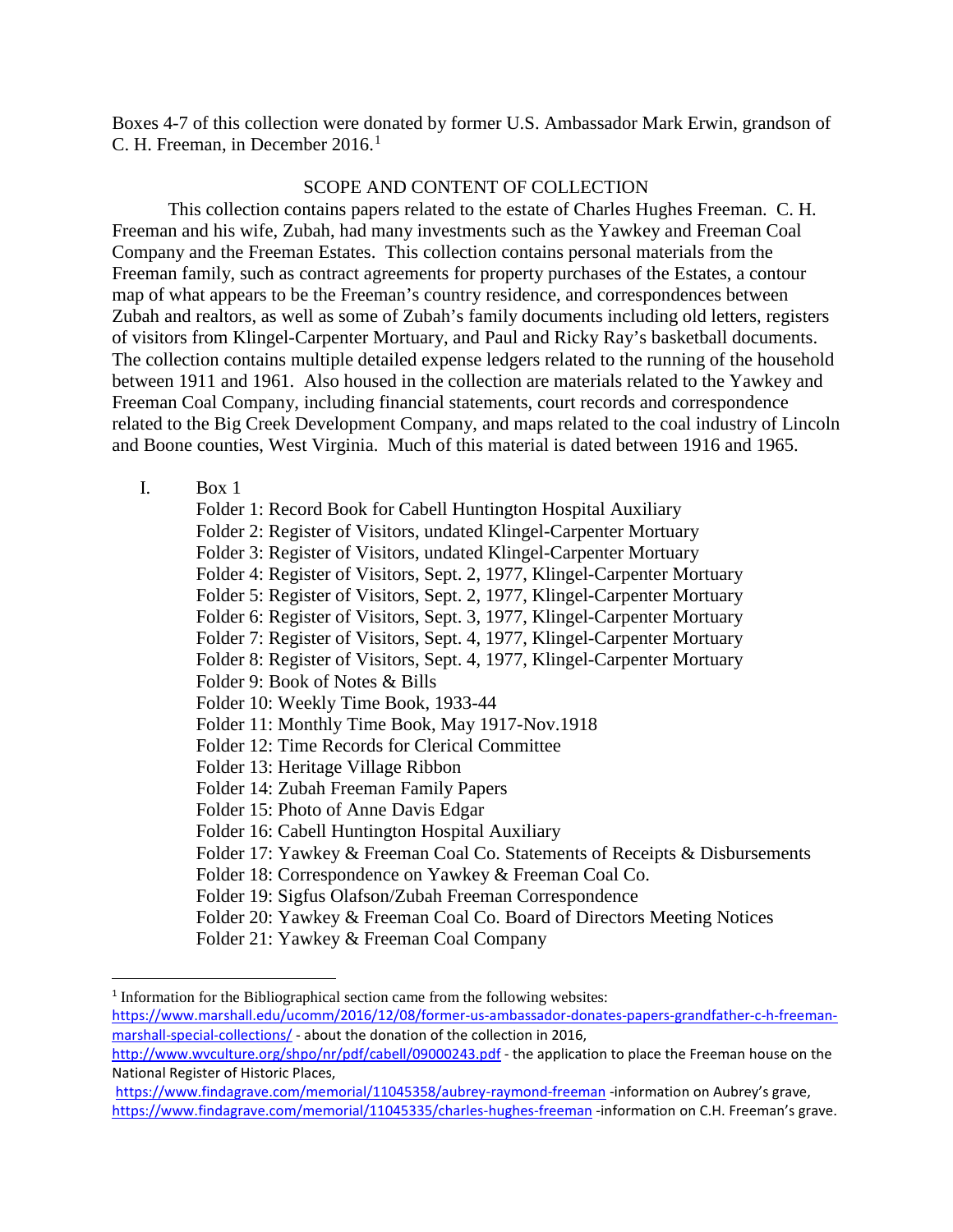Boxes 4-7 of this collection were donated by former U.S. Ambassador Mark Erwin, grandson of C. H. Freeman, in December  $2016<sup>1</sup>$  $2016<sup>1</sup>$  $2016<sup>1</sup>$ 

#### SCOPE AND CONTENT OF COLLECTION

This collection contains papers related to the estate of Charles Hughes Freeman. C. H. Freeman and his wife, Zubah, had many investments such as the Yawkey and Freeman Coal Company and the Freeman Estates. This collection contains personal materials from the Freeman family, such as contract agreements for property purchases of the Estates, a contour map of what appears to be the Freeman's country residence, and correspondences between Zubah and realtors, as well as some of Zubah's family documents including old letters, registers of visitors from Klingel-Carpenter Mortuary, and Paul and Ricky Ray's basketball documents. The collection contains multiple detailed expense ledgers related to the running of the household between 1911 and 1961. Also housed in the collection are materials related to the Yawkey and Freeman Coal Company, including financial statements, court records and correspondence related to the Big Creek Development Company, and maps related to the coal industry of Lincoln and Boone counties, West Virginia. Much of this material is dated between 1916 and 1965.

#### I. Box 1

Folder 1: Record Book for Cabell Huntington Hospital Auxiliary Folder 2: Register of Visitors, undated Klingel-Carpenter Mortuary Folder 3: Register of Visitors, undated Klingel-Carpenter Mortuary Folder 4: Register of Visitors, Sept. 2, 1977, Klingel-Carpenter Mortuary Folder 5: Register of Visitors, Sept. 2, 1977, Klingel-Carpenter Mortuary Folder 6: Register of Visitors, Sept. 3, 1977, Klingel-Carpenter Mortuary Folder 7: Register of Visitors, Sept. 4, 1977, Klingel-Carpenter Mortuary Folder 8: Register of Visitors, Sept. 4, 1977, Klingel-Carpenter Mortuary Folder 9: Book of Notes & Bills Folder 10: Weekly Time Book, 1933-44 Folder 11: Monthly Time Book, May 1917-Nov.1918 Folder 12: Time Records for Clerical Committee Folder 13: Heritage Village Ribbon Folder 14: Zubah Freeman Family Papers Folder 15: Photo of Anne Davis Edgar Folder 16: Cabell Huntington Hospital Auxiliary Folder 17: Yawkey & Freeman Coal Co. Statements of Receipts & Disbursements Folder 18: Correspondence on Yawkey & Freeman Coal Co. Folder 19: Sigfus Olafson/Zubah Freeman Correspondence Folder 20: Yawkey & Freeman Coal Co. Board of Directors Meeting Notices Folder 21: Yawkey & Freeman Coal Company

<span id="page-2-0"></span><sup>&</sup>lt;sup>1</sup> Information for the Bibliographical section came from the following websites: [https://www.marshall.edu/ucomm/2016/12/08/former-us-ambassador-donates-papers-grandfather-c-h-freeman](https://www.marshall.edu/ucomm/2016/12/08/former-us-ambassador-donates-papers-grandfather-c-h-freeman-marshall-special-collections/)[marshall-special-collections/](https://www.marshall.edu/ucomm/2016/12/08/former-us-ambassador-donates-papers-grandfather-c-h-freeman-marshall-special-collections/) - about the donation of the collection in 2016,

[http://www.wvculture.org/shpo/nr/pdf/cabell/09000243.pdf](http://www.wvculture.org/shpo/nr/pdf/cabell/09000243.pdf-) - the application to place the Freeman house on the National Register of Historic Places,

<https://www.findagrave.com/memorial/11045358/aubrey-raymond-freeman> -information on Aubrey's grave, <https://www.findagrave.com/memorial/11045335/charles-hughes-freeman> -information on C.H. Freeman's grave.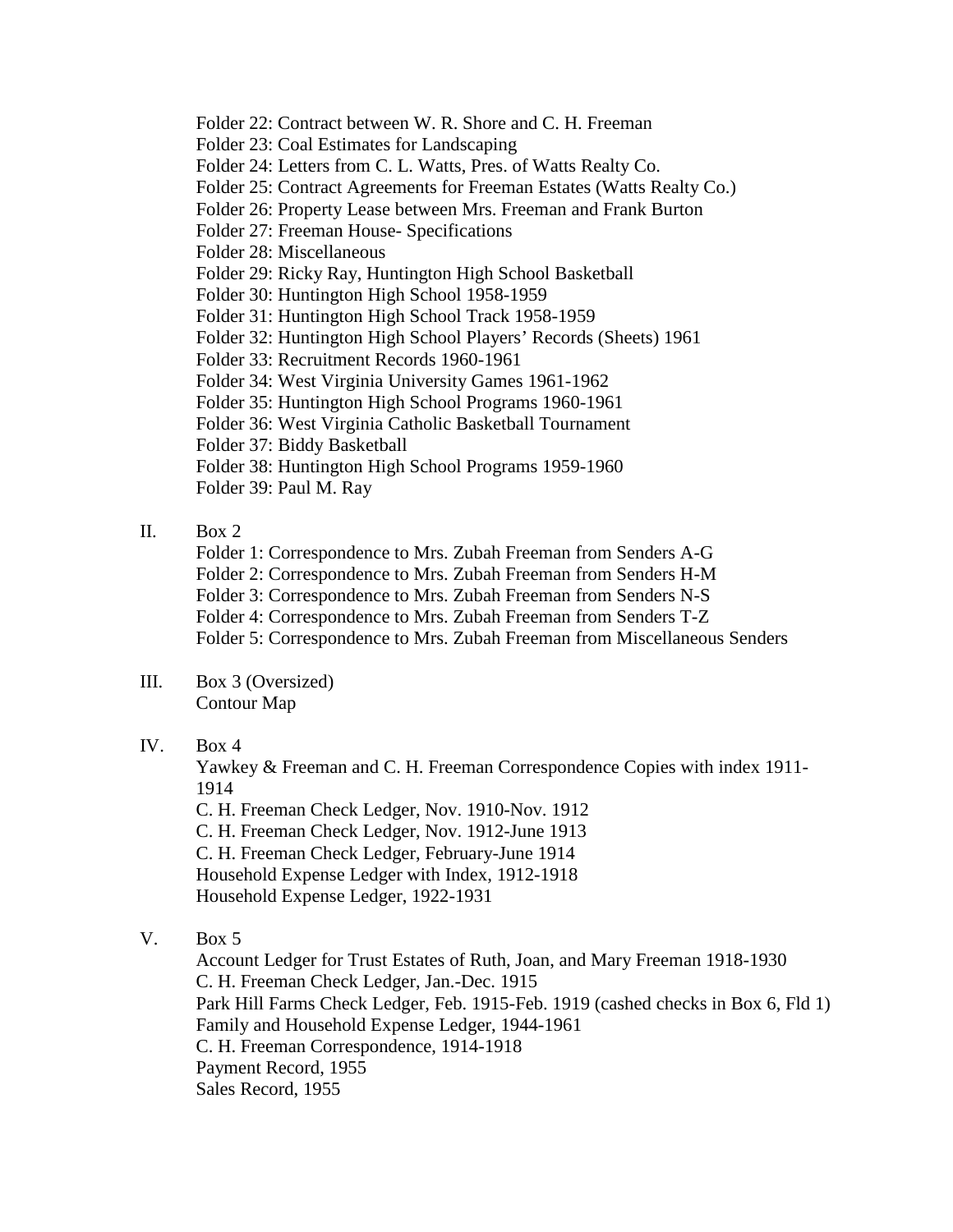Folder 22: Contract between W. R. Shore and C. H. Freeman

Folder 23: Coal Estimates for Landscaping

Folder 24: Letters from C. L. Watts, Pres. of Watts Realty Co.

Folder 25: Contract Agreements for Freeman Estates (Watts Realty Co.)

Folder 26: Property Lease between Mrs. Freeman and Frank Burton

Folder 27: Freeman House- Specifications

Folder 28: Miscellaneous

Folder 29: Ricky Ray, Huntington High School Basketball

Folder 30: Huntington High School 1958-1959

Folder 31: Huntington High School Track 1958-1959

Folder 32: Huntington High School Players' Records (Sheets) 1961

Folder 33: Recruitment Records 1960-1961

Folder 34: West Virginia University Games 1961-1962

Folder 35: Huntington High School Programs 1960-1961

Folder 36: West Virginia Catholic Basketball Tournament

Folder 37: Biddy Basketball

Folder 38: Huntington High School Programs 1959-1960

Folder 39: Paul M. Ray

### II. Box  $2$ .

Folder 1: Correspondence to Mrs. Zubah Freeman from Senders A-G

Folder 2: Correspondence to Mrs. Zubah Freeman from Senders H-M

Folder 3: Correspondence to Mrs. Zubah Freeman from Senders N-S

Folder 4: Correspondence to Mrs. Zubah Freeman from Senders T-Z

Folder 5: Correspondence to Mrs. Zubah Freeman from Miscellaneous Senders

#### III. Box 3 (Oversized) Contour Map

IV. Box 4

Yawkey & Freeman and C. H. Freeman Correspondence Copies with index 1911- 1914

C. H. Freeman Check Ledger, Nov. 1910-Nov. 1912

C. H. Freeman Check Ledger, Nov. 1912-June 1913

C. H. Freeman Check Ledger, February-June 1914

Household Expense Ledger with Index, 1912-1918

Household Expense Ledger, 1922-1931

V. Box 5

Account Ledger for Trust Estates of Ruth, Joan, and Mary Freeman 1918-1930 C. H. Freeman Check Ledger, Jan.-Dec. 1915 Park Hill Farms Check Ledger, Feb. 1915-Feb. 1919 (cashed checks in Box 6, Fld 1) Family and Household Expense Ledger, 1944-1961 C. H. Freeman Correspondence, 1914-1918 Payment Record, 1955 Sales Record, 1955